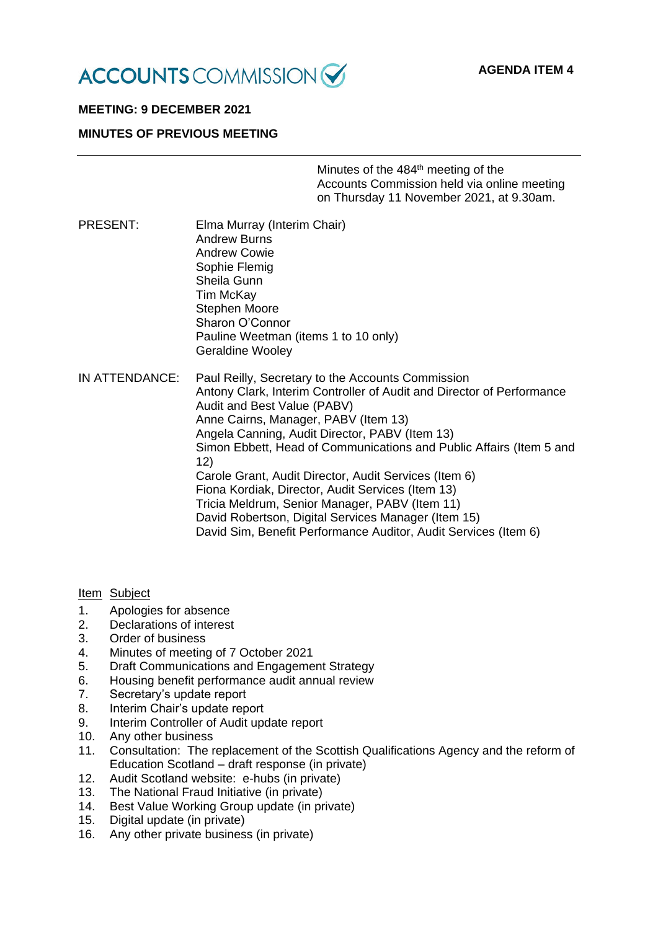

# **MEETING: 9 DECEMBER 2021**

## **MINUTES OF PREVIOUS MEETING**

Minutes of the 484<sup>th</sup> meeting of the Accounts Commission held via online meeting on Thursday 11 November 2021, at 9.30am.

PRESENT: Elma Murray (Interim Chair) Andrew Burns Andrew Cowie Sophie Flemig Sheila Gunn Tim McKay Stephen Moore Sharon O'Connor Pauline Weetman (items 1 to 10 only) Geraldine Wooley IN ATTENDANCE: Paul Reilly, Secretary to the Accounts Commission

Antony Clark, Interim Controller of Audit and Director of Performance Audit and Best Value (PABV) Anne Cairns, Manager, PABV (Item 13) Angela Canning, Audit Director, PABV (Item 13) Simon Ebbett, Head of Communications and Public Affairs (Item 5 and 12) Carole Grant, Audit Director, Audit Services (Item 6) Fiona Kordiak, Director, Audit Services (Item 13) Tricia Meldrum, Senior Manager, PABV (Item 11) David Robertson, Digital Services Manager (Item 15) David Sim, Benefit Performance Auditor, Audit Services (Item 6)

#### Item Subject

- 1. Apologies for absence
- 2. Declarations of interest
- 3. Order of business
- 4. Minutes of meeting of 7 October 2021
- 5. Draft Communications and Engagement Strategy
- 6. Housing benefit performance audit annual review
- 7. Secretary's update report
- 8. Interim Chair's update report
- 9. Interim Controller of Audit update report
- 10. Any other business
- 11. Consultation: The replacement of the Scottish Qualifications Agency and the reform of Education Scotland – draft response (in private)
- 12. Audit Scotland website: e-hubs (in private)
- 13. The National Fraud Initiative (in private)
- 14. Best Value Working Group update (in private)
- 15. Digital update (in private)
- 16. Any other private business (in private)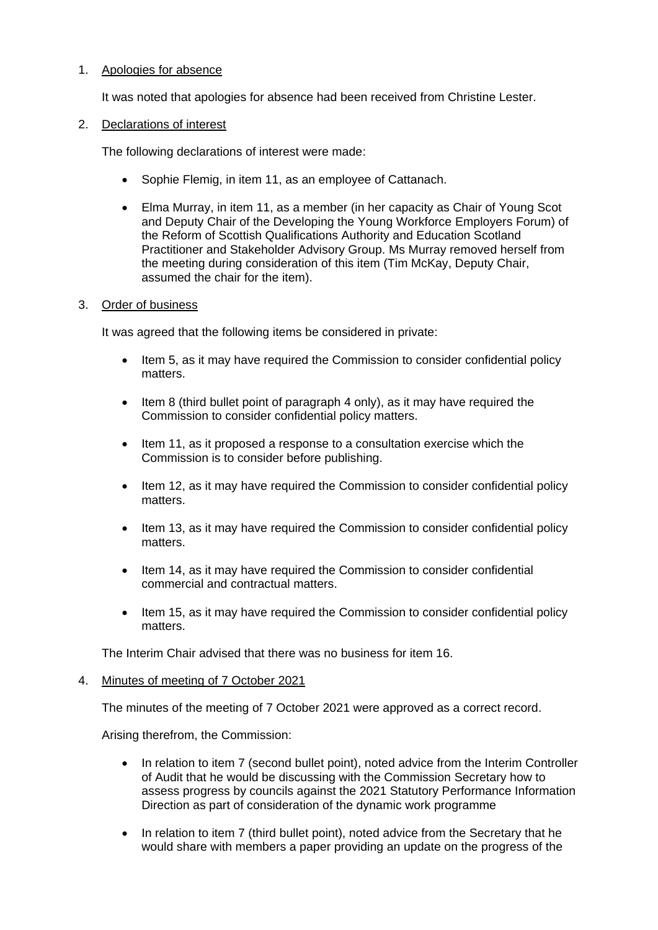# 1. Apologies for absence

It was noted that apologies for absence had been received from Christine Lester.

# 2. Declarations of interest

The following declarations of interest were made:

- Sophie Flemig, in item 11, as an employee of Cattanach.
- Elma Murray, in item 11, as a member (in her capacity as Chair of Young Scot and Deputy Chair of the Developing the Young Workforce Employers Forum) of the Reform of Scottish Qualifications Authority and Education Scotland Practitioner and Stakeholder Advisory Group. Ms Murray removed herself from the meeting during consideration of this item (Tim McKay, Deputy Chair, assumed the chair for the item).

## 3. Order of business

It was agreed that the following items be considered in private:

- Item 5, as it may have required the Commission to consider confidential policy matters.
- Item 8 (third bullet point of paragraph 4 only), as it may have required the Commission to consider confidential policy matters.
- Item 11, as it proposed a response to a consultation exercise which the Commission is to consider before publishing.
- Item 12, as it may have required the Commission to consider confidential policy matters.
- Item 13, as it may have required the Commission to consider confidential policy matters.
- Item 14, as it may have required the Commission to consider confidential commercial and contractual matters.
- Item 15, as it may have required the Commission to consider confidential policy matters.

The Interim Chair advised that there was no business for item 16.

## 4. Minutes of meeting of 7 October 2021

The minutes of the meeting of 7 October 2021 were approved as a correct record.

Arising therefrom, the Commission:

- In relation to item 7 (second bullet point), noted advice from the Interim Controller of Audit that he would be discussing with the Commission Secretary how to assess progress by councils against the 2021 Statutory Performance Information Direction as part of consideration of the dynamic work programme
- In relation to item 7 (third bullet point), noted advice from the Secretary that he would share with members a paper providing an update on the progress of the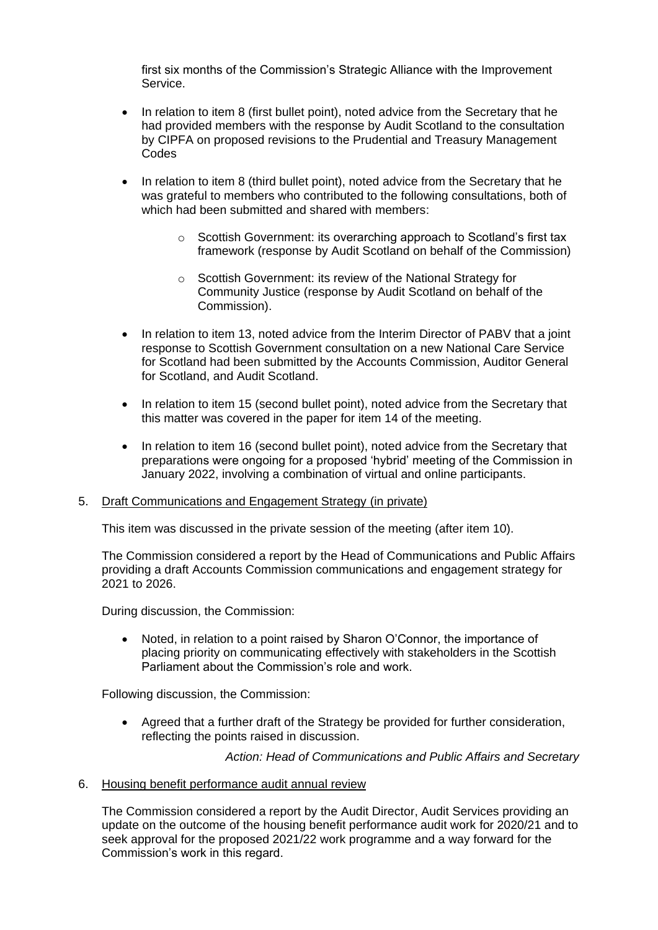first six months of the Commission's Strategic Alliance with the Improvement Service.

- In relation to item 8 (first bullet point), noted advice from the Secretary that he had provided members with the response by Audit Scotland to the consultation by CIPFA on proposed revisions to the Prudential and Treasury Management **Codes**
- In relation to item 8 (third bullet point), noted advice from the Secretary that he was grateful to members who contributed to the following consultations, both of which had been submitted and shared with members:
	- $\circ$  Scottish Government: its overarching approach to Scotland's first tax framework (response by Audit Scotland on behalf of the Commission)
	- o Scottish Government: its review of the National Strategy for Community Justice (response by Audit Scotland on behalf of the Commission).
- In relation to item 13, noted advice from the Interim Director of PABV that a joint response to Scottish Government consultation on a new National Care Service for Scotland had been submitted by the Accounts Commission, Auditor General for Scotland, and Audit Scotland.
- In relation to item 15 (second bullet point), noted advice from the Secretary that this matter was covered in the paper for item 14 of the meeting.
- In relation to item 16 (second bullet point), noted advice from the Secretary that preparations were ongoing for a proposed 'hybrid' meeting of the Commission in January 2022, involving a combination of virtual and online participants.

#### 5. Draft Communications and Engagement Strategy (in private)

This item was discussed in the private session of the meeting (after item 10).

The Commission considered a report by the Head of Communications and Public Affairs providing a draft Accounts Commission communications and engagement strategy for 2021 to 2026.

During discussion, the Commission:

• Noted, in relation to a point raised by Sharon O'Connor, the importance of placing priority on communicating effectively with stakeholders in the Scottish Parliament about the Commission's role and work.

Following discussion, the Commission:

• Agreed that a further draft of the Strategy be provided for further consideration, reflecting the points raised in discussion.

*Action: Head of Communications and Public Affairs and Secretary*

#### 6. Housing benefit performance audit annual review

The Commission considered a report by the Audit Director, Audit Services providing an update on the outcome of the housing benefit performance audit work for 2020/21 and to seek approval for the proposed 2021/22 work programme and a way forward for the Commission's work in this regard.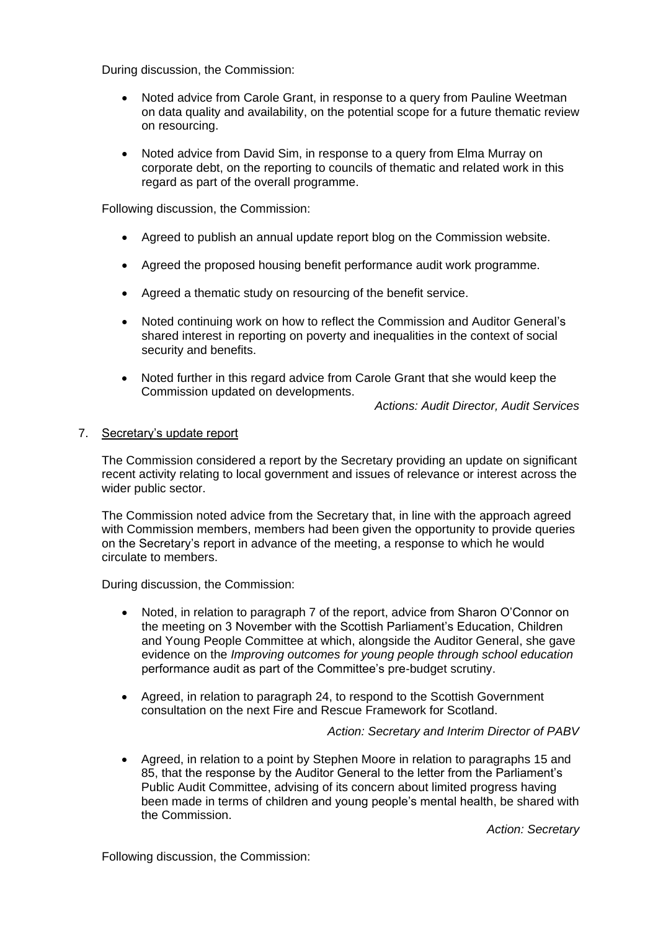During discussion, the Commission:

- Noted advice from Carole Grant, in response to a query from Pauline Weetman on data quality and availability, on the potential scope for a future thematic review on resourcing.
- Noted advice from David Sim, in response to a query from Elma Murray on corporate debt, on the reporting to councils of thematic and related work in this regard as part of the overall programme.

Following discussion, the Commission:

- Agreed to publish an annual update report blog on the Commission website.
- Agreed the proposed housing benefit performance audit work programme.
- Agreed a thematic study on resourcing of the benefit service.
- Noted continuing work on how to reflect the Commission and Auditor General's shared interest in reporting on poverty and inequalities in the context of social security and benefits.
- Noted further in this regard advice from Carole Grant that she would keep the Commission updated on developments.

*Actions: Audit Director, Audit Services*

#### 7. Secretary's update report

The Commission considered a report by the Secretary providing an update on significant recent activity relating to local government and issues of relevance or interest across the wider public sector.

The Commission noted advice from the Secretary that, in line with the approach agreed with Commission members, members had been given the opportunity to provide queries on the Secretary's report in advance of the meeting, a response to which he would circulate to members.

During discussion, the Commission:

- Noted, in relation to paragraph 7 of the report, advice from Sharon O'Connor on the meeting on 3 November with the Scottish Parliament's Education, Children and Young People Committee at which, alongside the Auditor General, she gave evidence on the *Improving outcomes for young people through school education* performance audit as part of the Committee's pre-budget scrutiny.
- Agreed, in relation to paragraph 24, to respond to the Scottish Government consultation on the next Fire and Rescue Framework for Scotland.

*Action: Secretary and Interim Director of PABV*

• Agreed, in relation to a point by Stephen Moore in relation to paragraphs 15 and 85, that the response by the Auditor General to the letter from the Parliament's Public Audit Committee, advising of its concern about limited progress having been made in terms of children and young people's mental health, be shared with the Commission.

*Action: Secretary*

Following discussion, the Commission: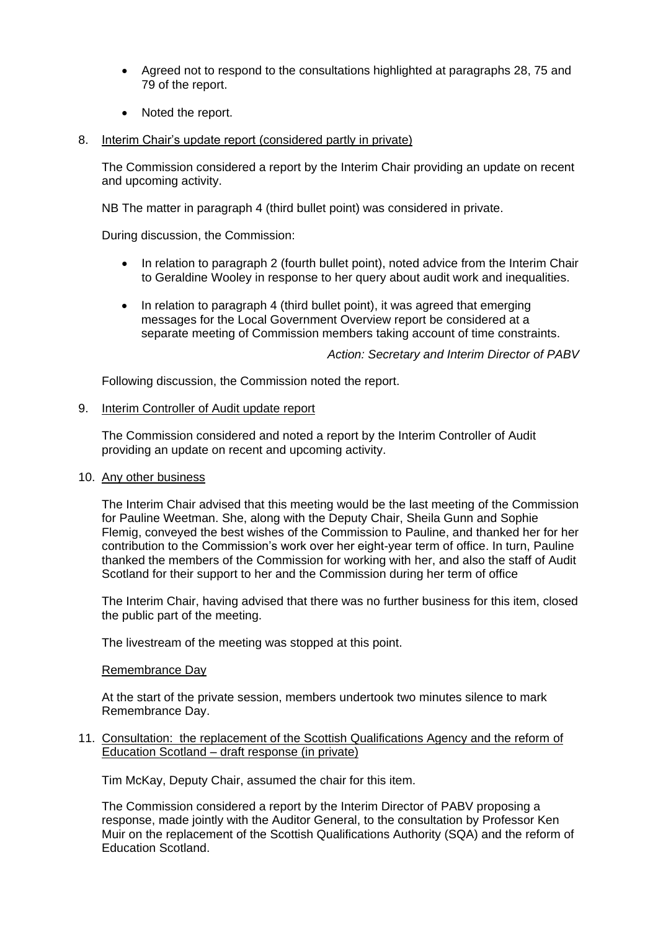- Agreed not to respond to the consultations highlighted at paragraphs 28, 75 and 79 of the report.
- Noted the report.
- 8. Interim Chair's update report (considered partly in private)

The Commission considered a report by the Interim Chair providing an update on recent and upcoming activity.

NB The matter in paragraph 4 (third bullet point) was considered in private.

During discussion, the Commission:

- In relation to paragraph 2 (fourth bullet point), noted advice from the Interim Chair to Geraldine Wooley in response to her query about audit work and inequalities.
- In relation to paragraph 4 (third bullet point), it was agreed that emerging messages for the Local Government Overview report be considered at a separate meeting of Commission members taking account of time constraints.

*Action: Secretary and Interim Director of PABV*

Following discussion, the Commission noted the report.

#### 9. Interim Controller of Audit update report

The Commission considered and noted a report by the Interim Controller of Audit providing an update on recent and upcoming activity.

#### 10. Any other business

The Interim Chair advised that this meeting would be the last meeting of the Commission for Pauline Weetman. She, along with the Deputy Chair, Sheila Gunn and Sophie Flemig, conveyed the best wishes of the Commission to Pauline, and thanked her for her contribution to the Commission's work over her eight-year term of office. In turn, Pauline thanked the members of the Commission for working with her, and also the staff of Audit Scotland for their support to her and the Commission during her term of office

The Interim Chair, having advised that there was no further business for this item, closed the public part of the meeting.

The livestream of the meeting was stopped at this point.

#### Remembrance Day

At the start of the private session, members undertook two minutes silence to mark Remembrance Day.

11. Consultation: the replacement of the Scottish Qualifications Agency and the reform of Education Scotland – draft response (in private)

Tim McKay, Deputy Chair, assumed the chair for this item.

The Commission considered a report by the Interim Director of PABV proposing a response, made jointly with the Auditor General, to the [consultation](https://www.gov.scot/publications/independent-review-education-scotland-scottish-qualification-authority-professor-kenneth-muir/) by Professor Ken Muir on the replacement of the Scottish Qualifications Authority (SQA) and the reform of Education Scotland.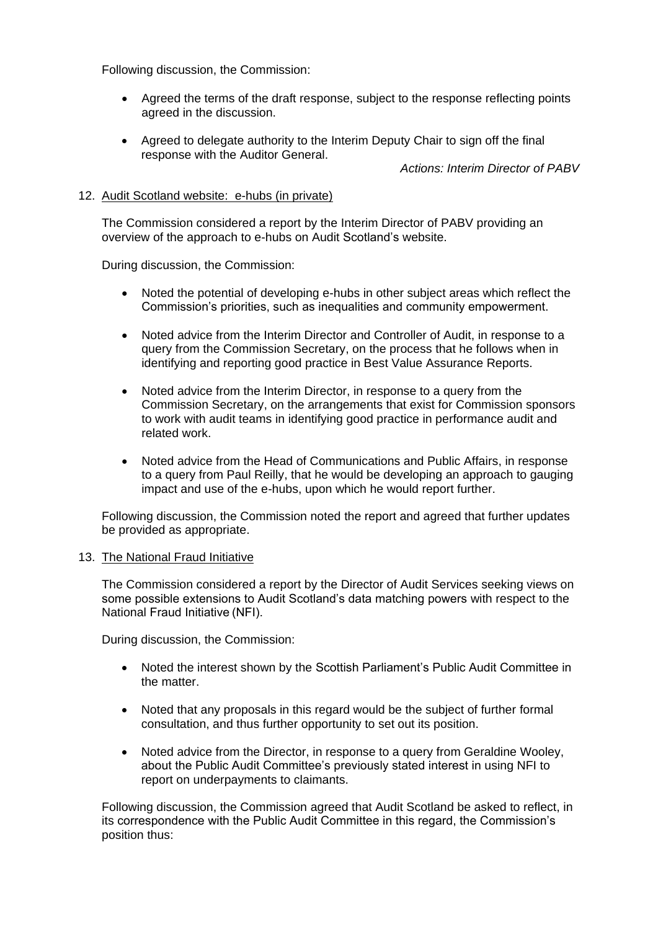Following discussion, the Commission:

- Agreed the terms of the draft response, subject to the response reflecting points agreed in the discussion.
- Agreed to delegate authority to the Interim Deputy Chair to sign off the final response with the Auditor General.

*Actions: Interim Director of PABV*

### 12. Audit Scotland website: e-hubs (in private)

The Commission considered a report by the Interim Director of PABV providing an overview of the approach to e-hubs on Audit Scotland's website.

During discussion, the Commission:

- Noted the potential of developing e-hubs in other subject areas which reflect the Commission's priorities, such as inequalities and community empowerment.
- Noted advice from the Interim Director and Controller of Audit, in response to a query from the Commission Secretary, on the process that he follows when in identifying and reporting good practice in Best Value Assurance Reports.
- Noted advice from the Interim Director, in response to a query from the Commission Secretary, on the arrangements that exist for Commission sponsors to work with audit teams in identifying good practice in performance audit and related work.
- Noted advice from the Head of Communications and Public Affairs, in response to a query from Paul Reilly, that he would be developing an approach to gauging impact and use of the e-hubs, upon which he would report further.

Following discussion, the Commission noted the report and agreed that further updates be provided as appropriate.

#### 13. The National Fraud Initiative

The Commission considered a report by the Director of Audit Services seeking views on some possible extensions to Audit Scotland's data matching powers with respect to the National Fraud Initiative (NFI).

During discussion, the Commission:

- Noted the interest shown by the Scottish Parliament's Public Audit Committee in the matter.
- Noted that any proposals in this regard would be the subject of further formal consultation, and thus further opportunity to set out its position.
- Noted advice from the Director, in response to a query from Geraldine Wooley, about the Public Audit Committee's previously stated interest in using NFI to report on underpayments to claimants.

Following discussion, the Commission agreed that Audit Scotland be asked to reflect, in its correspondence with the Public Audit Committee in this regard, the Commission's position thus: